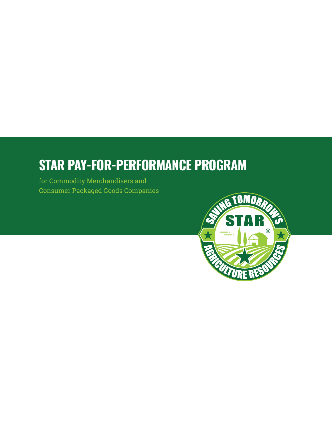# **STAR PAY-FOR-PERFORMANCE PROGRAM**

for Commodity Merchandisers and Consumer Packaged Goods Companies

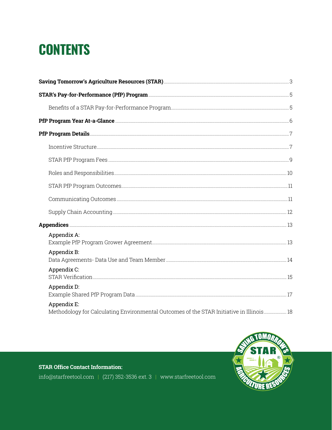# **CONTENTS**

| Appendix A:                                                                                             |  |
|---------------------------------------------------------------------------------------------------------|--|
| Appendix B:                                                                                             |  |
| Appendix C:                                                                                             |  |
| Appendix D:                                                                                             |  |
| Appendix E:<br>Methodology for Calculating Environmental Outcomes of the STAR Initiative in Illinois 18 |  |



STAR Office Contact Information:

info@starfreetool.com | (217) 352-3536 ext. 3 | www.starfreetool.com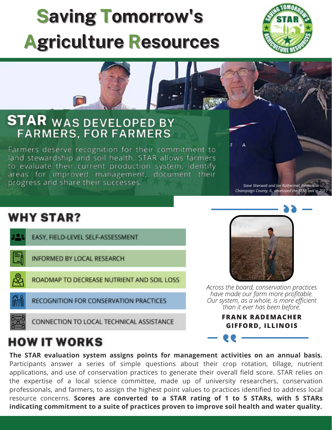# **Saving Tomorrow's Agriculture Resources**





# **WHY STAR?**

|           | EASY, FIELD-LEVEL SELF-ASSESSMENT          |
|-----------|--------------------------------------------|
| $\exists$ | <b>INFORMED BY LOCAL RESEARCH</b>          |
| Q,        | ROADMAP TO DECREASE NUTRIENT AND SOIL LOSS |
| 牅         | RECOGNITION FOR CONSERVATION PRACTICES     |
| `8.,      | CONNECTION TO LOCAL TECHNICAL ASSISTANCE   |



*Across the board, conservation practices have made our farm more profitable. Our system, as a whole, is more efficient than it ever has been before.*

> **FRANK RADEMACHER GIFFORD, ILLINOIS**

# **HOW IT WORKS**

**The STAR evaluation system assigns points for management activities on an annual basis.** Participants answer a series of simple questions about their crop rotation, tillage, nutrient applications, and use of conservation practices to generate their overall field score. STAR relies on the expertise of a local science committee, made up of university researchers, conservation professionals, and farmers, to assign the highest point values to practices identified to address local resource concerns. **Scores are converted to a STAR rating of 1 to 5 STARs, with 5 STARs indicating commitment to a suite of practices proven to improve soil health and water quality.**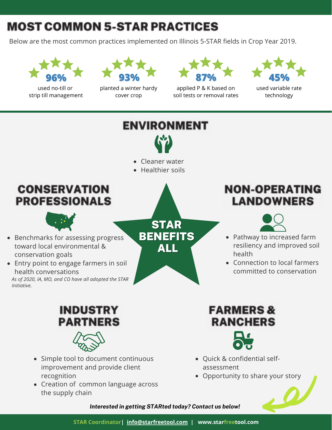# **MOST COMMON 5-STAR PRACTICES**

Below are the most common practices implemented on Illinois 5-STAR fields in Crop Year 2019.



used no-till or strip till management



planted a winter hardy cover crop



applied P & K based on soil tests or removal rates



used variable rate technology



- improvement and provide client recognition
- Creation of common language across the supply chain

# assessment Opportunity to share your story



*Interested in getting STARted today? Contact us below!*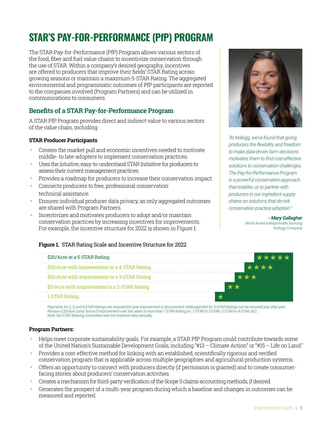# **STAR'S PAY-FOR-PERFORMANCE (PfP) PROGRAM**

The STAR Pay-for-Performance (PfP) Program allows various sectors of the food, fiber and fuel value chains to incentivize conservation through the use of STAR. Within a company's desired geography, incentives are offered to producers that improve their fields' STAR Rating across growing seasons or maintain a maximum 5-STAR Rating. The aggregated environmental and programmatic outcomes of PfP participants are reported to the companies involved (Program Partners) and can be utilized in communications to consumers.

# **Benefits of a STAR Pay-for-Performance Program**

A STAR PfP Program provides direct and indirect value to various sectors of the value chain, including:

# **STAR Producer Participants**

- **•** Creates the market pull and economic incentives needed to motivate middle-to late-adopters to implement conservation practices.
- Uses the intuitive, easy-to-understand STAR Initiative for producers to assess their current management practices.
- **●•** Provides a roadmap for producers to increase their conservation impact.
- Connects producers to free, professional conservation technical assistance.
- **●•** Ensures individual producer data privacy, as only aggregated outcomes are shared with Program Partners.
- Incentivizes and motivates producers to adopt and/or maintain conservation practices by increasing incentives for improvements. For example, the incentive structure for 2022 is shown in Figure 1:

# **Figure 1.** STAR Rating Scale and Incentive Structure for 2022



Payments for 2, 3, and 4-STAR Ratings are received the year improvement is documented, while payment for 5-STAR Ratings can be received year after year. *Receive a \$5/acre 'jump' bonus if improvement over two years is more than 1 STAR Rating (i.e. 1-STAR to 3-STAR, 2-STAR to 4-STAR, etc). Note: the STAR Steering Committee sets the incentive rates annually.*

#### **Program Partners:**

- **●•** Helps meet corporate sustainability goals. For example, a STAR PfP Program could contribute towards some of the United Nation's Sustainable Development Goals, including "#13 – Climate Action" or "#15 – Life on Land."
- **●•** Provides a cost-effective method for linking with an established, scientifically rigorous and verified conservation program that is applicable across multiple geographies and agricultural production systems.
- Offers an opportunity to connect with producers directly (if permission is granted) and to create consumer- facing stories about producers' conservation activities.
- Creates a mechanism for third-party verification of the Scope 3 claims accounting methods, if desired.
- Generates the prospect of a multi-year program during which a baseline and changes in outcomes can be measured and reported.



*"At Kellogg, we've found that giving producers the flexibility and freedom to make data-driven farm decisions motivates them to find cost-effective solutions to conservation challenges. The Pay-for-Performance Program is a powerful conservation approach that enables us to partner with producers in our ingredient supply chains on solutions that de-risk conservation practice adoption."*

# *- Mary Gallagher*

*North America Responsible Sourcing Kellogg Company*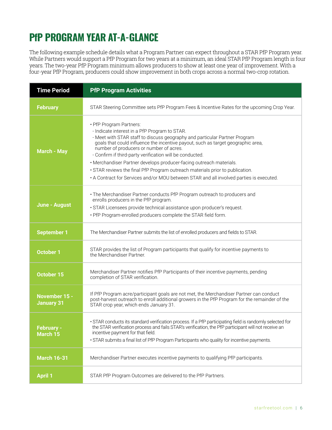# **PfP PROGRAM YEAR AT-A-GLANCE**

The following example schedule details what a Program Partner can expect throughout a STAR PfP Program year. While Partners would support a PfP Program for two years at a minimum, an ideal STAR PfP Program length is four years. The two-year PfP Program minimum allows producers to show at least one year of improvement. With a four-year PfP Program, producers could show improvement in both crops across a normal two-crop rotation.

| <b>Time Period</b>                 | <b>PfP Program Activities</b>                                                                                                                                                                                                                                                                                                                                                                                                                                                                                                                                                                        |
|------------------------------------|------------------------------------------------------------------------------------------------------------------------------------------------------------------------------------------------------------------------------------------------------------------------------------------------------------------------------------------------------------------------------------------------------------------------------------------------------------------------------------------------------------------------------------------------------------------------------------------------------|
| <b>February</b>                    | STAR Steering Committee sets PfP Program Fees & Incentive Rates for the upcoming Crop Year.                                                                                                                                                                                                                                                                                                                                                                                                                                                                                                          |
| <b>March - May</b>                 | • PfP Program Partners:<br>- Indicate interest in a PfP Program to STAR.<br>- Meet with STAR staff to discuss geography and particular Partner Program<br>goals that could influence the incentive payout, such as target geographic area,<br>number of producers or number of acres.<br>- Confirm if third-party verification will be conducted.<br>• Merchandiser Partner develops producer-facing outreach materials.<br>. STAR reviews the final PfP Program outreach materials prior to publication.<br>• A Contract for Services and/or MOU between STAR and all involved parties is executed. |
| June - August                      | • The Merchandiser Partner conducts PfP Program outreach to producers and<br>enrolls producers in the PfP program.<br>· STAR Licensees provide technical assistance upon producer's request.<br>. PfP Program-enrolled producers complete the STAR field form.                                                                                                                                                                                                                                                                                                                                       |
| <b>September 1</b>                 | The Merchandiser Partner submits the list of enrolled producers and fields to STAR.                                                                                                                                                                                                                                                                                                                                                                                                                                                                                                                  |
| <b>October 1</b>                   | STAR provides the list of Program participants that qualify for incentive payments to<br>the Merchandiser Partner.                                                                                                                                                                                                                                                                                                                                                                                                                                                                                   |
| <b>October 15</b>                  | Merchandiser Partner notifies PfP Participants of their incentive payments, pending<br>completion of STAR verification.                                                                                                                                                                                                                                                                                                                                                                                                                                                                              |
| November 15 -<br><b>January 31</b> | If PfP Program acre/participant goals are not met, the Merchandiser Partner can conduct<br>post-harvest outreach to enroll additional growers in the PfP Program for the remainder of the<br>STAR crop year, which ends January 31.                                                                                                                                                                                                                                                                                                                                                                  |
| <b>February -</b><br>March 15      | · STAR conducts its standard verification process. If a PfP participating field is randomly selected for<br>the STAR verification process and fails STAR's verification, the PfP participant will not receive an<br>incentive payment for that field.<br>. STAR submits a final list of PfP Program Participants who quality for incentive payments.                                                                                                                                                                                                                                                 |
| <b>March 16-31</b>                 | Merchandiser Partner executes incentive payments to qualifying PfP participants.                                                                                                                                                                                                                                                                                                                                                                                                                                                                                                                     |
| <b>April 1</b>                     | STAR PfP Program Outcomes are delivered to the PfP Partners.                                                                                                                                                                                                                                                                                                                                                                                                                                                                                                                                         |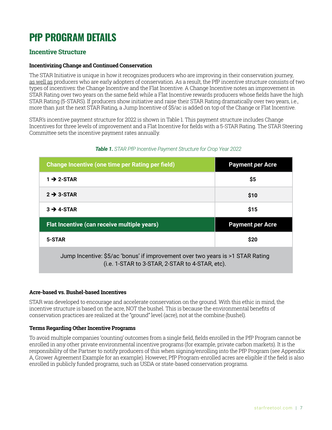# **PfP PROGRAM DETAILS**

# **Incentive Structure**

# **Incentivizing Change and Continued Conservation**

The STAR Initiative is unique in how it recognizes producers who are improving in their conservation journey, as well as producers who are early adopters of conservation. As a result, the PfP incentive structure consists of two types of incentives: the Change Incentive and the Flat Incentive. A Change Incentive notes an improvement in STAR Rating over two years on the same field while a Flat Incentive rewards producers whose fields have the high STAR Rating (5-STARS). If producers show initiative and raise their STAR Rating dramatically over two years, i.e., more than just the next STAR Rating, a Jump Incentive of \$5/ac is added on top of the Change or Flat Incentive.

STAR's incentive payment structure for 2022 is shown in Table 1. This payment structure includes Change Incentives for three levels of improvement and a Flat Incentive for fields with a 5-STAR Rating. The STAR Steering Committee sets the incentive payment rates annually.

| Change Incentive (one time per Rating per field)                                                                                  | <b>Payment per Acre</b> |  |  |  |
|-----------------------------------------------------------------------------------------------------------------------------------|-------------------------|--|--|--|
| $1 \rightarrow 2$ -STAR                                                                                                           | \$5                     |  |  |  |
| $2 \rightarrow 3$ -STAR                                                                                                           | \$10                    |  |  |  |
| $3 \rightarrow 4-STAR$                                                                                                            | \$15                    |  |  |  |
| Flat Incentive (can receive multiple years)                                                                                       | <b>Payment per Acre</b> |  |  |  |
| \$20<br>5-STAR                                                                                                                    |                         |  |  |  |
| Jump Incentive: \$5/ac 'bonus' if improvement over two years is >1 STAR Rating<br>(i.e. 1-STAR to 3-STAR, 2-STAR to 4-STAR, etc). |                         |  |  |  |

# *Table 1. STAR PfP Incentive Payment Structure for Crop Year 2022*

# **Acre-based vs. Bushel-based Incentives**

STAR was developed to encourage and accelerate conservation on the ground. With this ethic in mind, the incentive structure is based on the acre, NOT the bushel. This is because the environmental benefits of conservation practices are realized at the "ground" level (acre), not at the combine (bushel).

# **Terms Regarding Other Incentive Programs**

To avoid multiple companies 'counting' outcomes from a single field, fields enrolled in the PfP Program cannot be enrolled in any other private environmental incentive programs (for example, private carbon markets). It is the responsibility of the Partner to notify producers of this when signing/enrolling into the PfP Program (see Appendix A, Grower Agreement Example for an example). However, PfP Program-enrolled acres are eligible if the field is also enrolled in publicly funded programs, such as USDA or state-based conservation programs.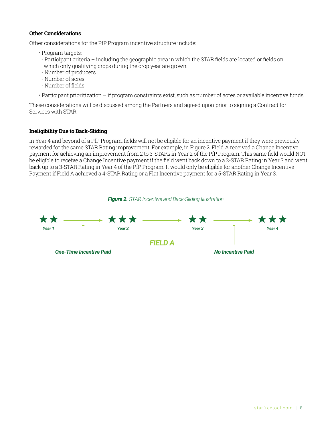### **Other Considerations**

Other considerations for the PfP Program incentive structure include:

- Program targets:
- . Participant criteria including the geographic area in which the STAR fields are located or fields on which only qualifying crops during the crop year are grown.
- Number of producers
- Number of acres
- Number of fields
- Participant prioritization if program constraints exist, such as number of acres or available incentive funds.

These considerations will be discussed among the Partners and agreed upon prior to signing a Contract for Services with STAR.

# **Ineligibility Due to Back-Sliding**

In Year 4 and beyond of a PfP Program, fields will not be eligible for an incentive payment if they were previously rewarded for the same STAR Rating improvement. For example, in Figure 2, Field A received a Change Incentive payment for achieving an improvement from 2 to 3-STARs in Year 2 of the PfP Program. This same field would NOT be eligible to receive a Change Incentive payment if the field went back down to a 2-STAR Rating in Year 3 and went back up to a 3-STAR Rating in Year 4 of the PfP Program. It would only be eligible for another Change Incentive Payment if Field A achieved a 4-STAR Rating or a Flat Incentive payment for a 5-STAR Rating in Year 3.



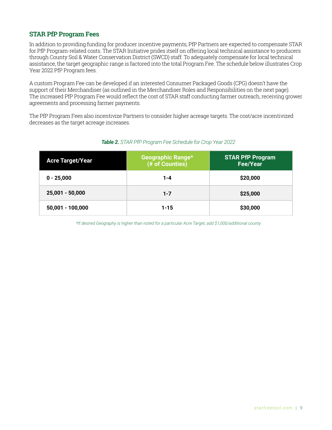# **STAR PfP Program Fees**

In addition to providing funding for producer incentive payments, PfP Partners are expected to compensate STAR for PfP Program-related costs. The STAR Initiative prides itself on offering local technical assistance to producers through County Soil & Water Conservation District (SWCD) staff. To adequately compensate for local technical assistance, the target geographic range is factored into the total Program Fee. The schedule below illustrates Crop Year 2022 PfP Program fees.

A custom Program Fee can be developed if an interested Consumer Packaged Goods (CPG) doesn't have the support of their Merchandiser (as outlined in the Merchandiser Roles and Responsibilities on the next page). The increased PfP Program Fee would reflect the cost of STAR staff conducting farmer outreach, receiving grower agreements and processing farmer payments.

The PfP Program Fees also incentivize Partners to consider higher acreage targets. The cost/acre incentivized decreases as the target acreage increases.

| <b>Acre Target/Year</b> | <b>Geographic Range*</b><br>(# of Counties) | <b>STAR PfP Program</b><br><b>Fee/Year</b> |
|-------------------------|---------------------------------------------|--------------------------------------------|
| $0 - 25,000$            | $1 - 4$                                     | \$20,000                                   |
| 25,001 - 50,000         | $1 - 7$                                     | \$25,000                                   |
| $50,001 - 100,000$      | $1 - 15$                                    | \$30,000                                   |

# *Table 2. STAR PfP Program Fee Schedule for Crop Year 2022*

*\*If desired Geography is higher than noted for a particular Acre Target, add \$1,000/additional county*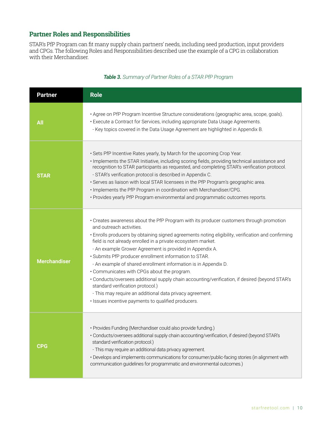# **Partner Roles and Responsibilities**

STAR's PfP Program can fit many supply chain partners' needs, including seed production, input providers and CPGs. The following Roles and Responsibilities described use the example of a CPG in collaboration with their Merchandiser.

| <b>Partner</b>      | <b>Role</b>                                                                                                                                                                                                                                                                                                                                                                                                                                                                                                                                                                                                                                                                                                                                                                                |
|---------------------|--------------------------------------------------------------------------------------------------------------------------------------------------------------------------------------------------------------------------------------------------------------------------------------------------------------------------------------------------------------------------------------------------------------------------------------------------------------------------------------------------------------------------------------------------------------------------------------------------------------------------------------------------------------------------------------------------------------------------------------------------------------------------------------------|
| All                 | · Agree on PfP Program Incentive Structure considerations (geographic area, scope, goals).<br>• Execute a Contract for Services, including appropriate Data Usage Agreements.<br>- Key topics covered in the Data Usage Agreement are highlighted in Appendix B.                                                                                                                                                                                                                                                                                                                                                                                                                                                                                                                           |
| <b>STAR</b>         | . Sets PfP Incentive Rates yearly, by March for the upcoming Crop Year.<br>· Implements the STAR Initiative, including scoring fields, providing technical assistance and<br>recognition to STAR participants as requested, and completing STAR's verification protocol.<br>- STAR's verification protocol is described in Appendix C.<br>· Serves as liaison with local STAR licensees in the PfP Program's geographic area.<br>. Implements the PfP Program in coordination with Merchandiser/CPG.<br>· Provides yearly PfP Program environmental and programmatic outcomes reports.                                                                                                                                                                                                     |
| <b>Merchandiser</b> | • Creates awareness about the PfP Program with its producer customers through promotion<br>and outreach activities.<br>· Enrolls producers by obtaining signed agreements noting eligibility, verification and confirming<br>field is not already enrolled in a private ecosystem market.<br>- An example Grower Agreement is provided in Appendix A.<br>· Submits PfP producer enrollment information to STAR.<br>- An example of shared enrollment information is in Appendix D.<br>• Communicates with CPGs about the program.<br>· Conducts/oversees additional supply chain accounting/verification, if desired (beyond STAR's<br>standard verification protocol.)<br>- This may require an additional data privacy agreement.<br>· Issues incentive payments to qualified producers. |
| <b>CPG</b>          | · Provides Funding (Merchandiser could also provide funding.)<br>· Conducts/oversees additional supply chain accounting/verification, if desired (beyond STAR's<br>standard verification protocol.)<br>- This may require an additional data privacy agreement.<br>· Develops and implements communications for consumer/public-facing stories (in alignment with<br>communication guidelines for programmatic and environmental outcomes.)                                                                                                                                                                                                                                                                                                                                                |

# *Table 3. Summary of Partner Roles of a STAR PfP Program*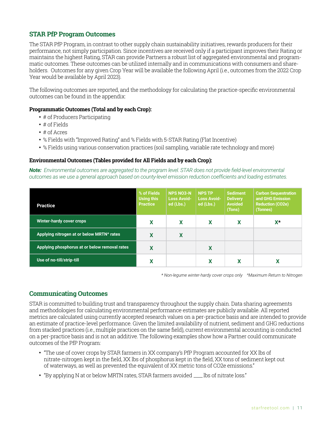# **STAR PfP Program Outcomes**

The STAR PfP Program, in contrast to other supply chain sustainability initiatives, rewards producers for their performance, not simply participation. Since incentives are received only if a participant improves their Rating or maintains the highest Rating, STAR can provide Partners a robust list of aggregated environmental and programmatic outcomes. These outcomes can be utilized internally and in communications with consumers and shareholders. Outcomes for any given Crop Year will be available the following April (i.e., outcomes from the 2022 Crop Year would be available by April 2023).

The following outcomes are reported, and the methodology for calculating the practice-specific environmental outcomes can be found in the appendix:

# **Programmatic Outcomes (Total and by each Crop):**

- # of Producers Participating
- # of Fields
- # of Acres
- % Fields with "Improved Rating" and % Fields with 5-STAR Rating (Flat Incentive)
- % Fields using various conservation practices (soil sampling, variable rate technology and more)

#### **Environmental Outcomes (Tables provided for All Fields and by each Crop):**

*Note: Environmental outcomes are aggregated to the program level. STAR does not provide field-level environmental outcomes as we use a general approach based on county-level emission reduction coefficients and loading estimates.* 

| <b>Practice</b>                               | % of Fields<br>Using this<br><b>Practice</b> | <b>NPS NO3-N</b><br>Loss Avoid-<br>ed (Lbs.) | <b>NPS TP</b><br><b>Loss Avoid-</b><br>ed (Lbs.) | <b>Sediment</b><br><b>Delivery</b><br><b>Avoided</b><br>(Tons) | <b>Carbon Sequestration</b><br>and GHG Emission<br><b>Reduction (CO2e)</b><br>(Tonnes) |
|-----------------------------------------------|----------------------------------------------|----------------------------------------------|--------------------------------------------------|----------------------------------------------------------------|----------------------------------------------------------------------------------------|
| Winter-hardy cover crops                      | x                                            | X                                            | x                                                | x                                                              | $X^{\star}$                                                                            |
| Applying nitrogen at or below MRTN^ rates     | X                                            | X                                            |                                                  |                                                                |                                                                                        |
| Applying phosphorus at or below removal rates | X                                            |                                              | X                                                |                                                                |                                                                                        |
| Use of no-till/strip-till                     | χ                                            |                                              |                                                  | χ                                                              | χ                                                                                      |

*\* Non-legume winter-hardy cover crops only ^Maximum Return to Nitrogen*

# **Communicating Outcomes**

STAR is committed to building trust and transparency throughout the supply chain. Data sharing agreements and methodologies for calculating environmental performance estimates are publicly available. All reported metrics are calculated using currently accepted research values on a per-practice basis and are intended to provide an estimate of practice-level performance. Given the limited availability of nutrient, sediment and GHG reductions from stacked practices (i.e., multiple practices on the same field), current environmental accounting is conducted on a per-practice basis and is not an additive. The following examples show how a Partner could communicate outcomes of the PfP Program:

- "The use of cover crops by STAR farmers in XX company's PfP Program accounted for XX lbs of nitrate-nitrogen kept in the field, XX lbs of phosphorus kept in the field, XX tons of sediment kept out of waterways, as well as prevented the equivalent of XX metric tons of CO2e emissions."
- "By applying N at or below MRTN rates, STAR farmers avoided \_\_\_\_lbs of nitrate loss."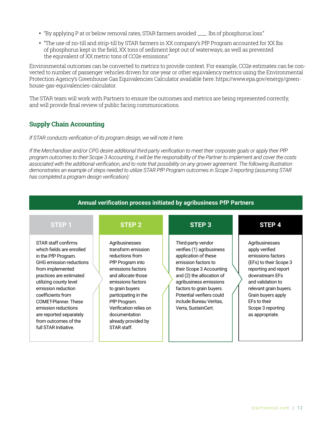- "By applying P at or below removal rates, STAR farmers avoided \_\_\_\_ lbs of phosphorus loss."
- "The use of no-till and strip-till by STAR farmers in XX company's PfP Program accounted for XX lbs of phosphorus kept in the field, XX tons of sediment kept out of waterways, as well as prevented the equivalent of XX metric tons of CO2e emissions."

Environmental outcomes can be converted to metrics to provide context. For example, CO2e estimates can be converted to number of passenger vehicles driven for one year or other equivalency metrics using the Environmental Protection Agency's Greenhouse Gas Equivalencies Calculator available here: https://www.epa.gov/energy/greenhouse-gas-equivalencies-calculator.

The STAR team will work with Partners to ensure the outcomes and metrics are being represented correctly, and will provide final review of public facing communications.

# **Supply Chain Accounting**

#### *If STAR conducts verification of its program design, we will note it here.*

*If the Merchandiser and/or CPG desire additional third-party verification to meet their corporate goals or apply their PfP program outcomes to their Scope 3 Accounting, it will be the responsibility of the Partner to implement and cover the costs associated with the additional verification, and to note that possibility on any grower agreement. The following illustration demonstrates an example of steps needed to utilize STAR PfP Program outcomes in Scope 3 reporting (assuming STAR has completed a program design verification):*

| <b>Annual verification process initiated by agribusiness PfP Partners</b>                                                                                                                                                                                                                                                                                |                                                                                                                                                                                                                                                                                         |                                                                                                                                                                                                                                                                                              |                                                                                                                                                                                                                                                        |  |  |  |  |
|----------------------------------------------------------------------------------------------------------------------------------------------------------------------------------------------------------------------------------------------------------------------------------------------------------------------------------------------------------|-----------------------------------------------------------------------------------------------------------------------------------------------------------------------------------------------------------------------------------------------------------------------------------------|----------------------------------------------------------------------------------------------------------------------------------------------------------------------------------------------------------------------------------------------------------------------------------------------|--------------------------------------------------------------------------------------------------------------------------------------------------------------------------------------------------------------------------------------------------------|--|--|--|--|
| <b>STEP1</b>                                                                                                                                                                                                                                                                                                                                             | STEP <sub>2</sub>                                                                                                                                                                                                                                                                       | STEP <sub>3</sub>                                                                                                                                                                                                                                                                            | STEP <sub>4</sub>                                                                                                                                                                                                                                      |  |  |  |  |
| STAR staff confirms<br>which fields are enrolled<br>in the PfP Program.<br>GHG emission reductions<br>from implemented<br>practices are estimated<br>utilizing county level<br>emission reduction<br>coefficients from<br><b>COMET-Planner. These</b><br>emission reductions<br>are reported separately<br>from outcomes of the<br>full STAR Initiative. | Agribusinesses<br>transform emission<br>reductions from<br>PfP Program into<br>emissions factors<br>and allocate those<br>emissions factors<br>to grain buyers<br>participating in the<br>PfP Program.<br>Verification relies on<br>documentation<br>already provided by<br>STAR staff. | Third-party vendor<br>verifies (1) agribusiness<br>application of these<br>emission factors to<br>their Scope 3 Accounting<br>and (2) the allocation of<br>agribusiness emissions<br>factors to grain buyers.<br>Potential verifiers could<br>include Bureau Veritas,<br>Verra, SustainCert. | Agribusinesses<br>apply verified<br>emissions factors<br>(EFs) to their Scope 3<br>reporting and report<br>downstream EFs<br>and validation to<br>relevant grain buyers.<br>Grain buyers apply<br>EFs to their<br>Scope 3 reporting<br>as appropriate. |  |  |  |  |

# starfreetool.com | 12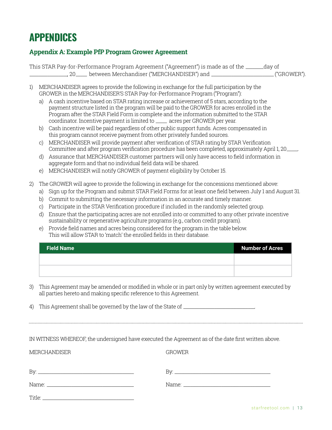# **APPENDICES**

# **Appendix A: Example PfP Program Grower Agreement**

|                                               | This STAR Pay-for-Performance Program Agreement ("Agreement") is made as of the _____ | day of       |
|-----------------------------------------------|---------------------------------------------------------------------------------------|--------------|
| _ between Merchandiser ("MERCHANDISER") and . |                                                                                       | .("GROWER"). |

- 1) MERCHANDISER agrees to provide the following in exchange for the full participation by the GROWER in the MERCHANDISER'S STAR Pay-for-Performance Program ("Program"):
	- a) A cash incentive based on STAR rating increase or achievement of 5 stars, according to the payment structure listed in the program will be paid to the GROWER for acres enrolled in the Program after the STAR Field Form is complete and the information submitted to the STAR coordinator. Incentive payment is limited to \_\_\_\_\_ acres per GROWER per year.
	- b) Cash incentive will be paid regardless of other public support funds. Acres compensated in this program cannot receive payment from other privately funded sources.
	- c) MERCHANDISER will provide payment after verification of STAR rating by STAR Verification Committee and after program verification procedure has been completed, approximately April 1, 20\_\_\_\_\_.
	- d) Assurance that MERCHANDISER customer partners will only have access to field information in aggregate form and that no individual field data will be shared.
	- e) MERCHANDISER will notify GROWER of payment eligibility by October 15.
- 2) The GROWER will agree to provide the following in exchange for the concessions mentioned above:
	- a) Sign up for the Program and submit STAR Field Forms for at least one field between July 1 and August 31.
	- b) Commit to submitting the necessary information in an accurate and timely manner.
	- c) Participate in the STAR Verification procedure if included in the randomly selected group.
	- d) Ensure that the participating acres are not enrolled into or committed to any other private incentive sustainability or regenerative agriculture programs (e.g., carbon credit program).
	- e) Provide field names and acres being considered for the program in the table below. This will allow STAR to 'match' the enrolled fields in their database.

| <b>Field Name</b> | <b>Number of Acres</b> |
|-------------------|------------------------|
|                   |                        |
|                   |                        |

3) This Agreement may be amended or modified in whole or in part only by written agreement executed by all parties hereto and making specific reference to this Agreement.

4) This Agreement shall be governed by the law of the State of \_\_\_\_\_\_\_\_\_\_\_\_\_\_\_\_\_\_

IN WITNESS WHEREOF, the undersigned have executed the Agreement as of the date first written above.

MERCHANDISER GROWER

Title:

| By:   | Вv    |
|-------|-------|
| Name: | Name: |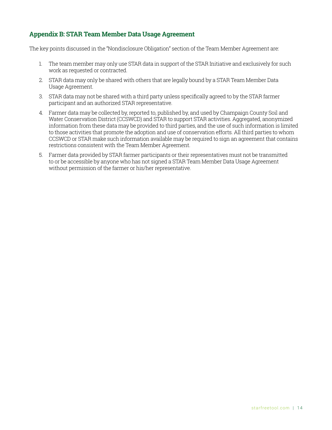# **Appendix B: STAR Team Member Data Usage Agreement**

The key points discussed in the "Nondisclosure Obligation" section of the Team Member Agreement are:

- 1. The team member may only use STAR data in support of the STAR Initiative and exclusively for such work as requested or contracted.
- 2. STAR data may only be shared with others that are legally bound by a STAR Team Member Data Usage Agreement.
- 3. STAR data may not be shared with a third party unless specifically agreed to by the STAR farmer participant and an authorized STAR representative.
- 4. Farmer data may be collected by, reported to, published by, and used by Champaign County Soil and Water Conservation District (CCSWCD) and STAR to support STAR activities. Aggregated, anonymized information from these data may be provided to third parties, and the use of such information is limited to those activities that promote the adoption and use of conservation efforts. All third parties to whom CCSWCD or STAR make such information available may be required to sign an agreement that contains restrictions consistent with the Team Member Agreement.
- 5. Farmer data provided by STAR farmer participants or their representatives must not be transmitted to or be accessible by anyone who has not signed a STAR Team Member Data Usage Agreement without permission of the farmer or his/her representative.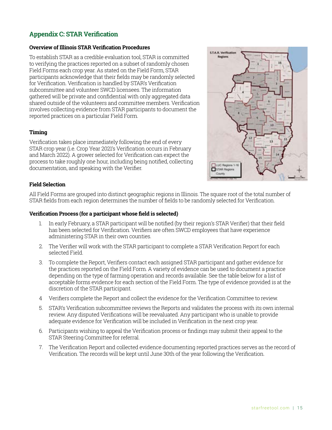# **Appendix C: STAR Verification**

# **Overview of Illinois STAR Verification Procedures**

To establish STAR as a credible evaluation tool, STAR is committed to verifying the practices reported on a subset of randomly chosen Field Forms each crop year. As stated on the Field Form, STAR participants acknowledge that their fields may be randomly selected for Verification. Verification is handled by STAR's Verification subcommittee and volunteer SWCD licensees. The information gathered will be private and confidential with only aggregated data shared outside of the volunteers and committee members. Verification involves collecting evidence from STAR participants to document the reported practices on a particular Field Form.

# **Timing**

Verification takes place immediately following the end of every STAR crop year (i.e. Crop Year 2021's Verification occurs in February and March 2022). A grower selected for Verification can expect the process to take roughly one hour, including being notified, collecting documentation, and speaking with the Verifier.



# **Field Selection**

All Field Forms are grouped into distinct geographic regions in Illinois. The square root of the total number of STAR fields from each region determines the number of fields to be randomly selected for Verification.

# **Verification Process (for a participant whose field is selected)**

- 1. In early February, a STAR participant will be notified (by their region's STAR Verifier) that their field has been selected for Verification. Verifiers are often SWCD employees that have experience administering STAR in their own counties.
- 2. The Verifier will work with the STAR participant to complete a STAR Verification Report for each selected Field.
- 3. To complete the Report, Verifiers contact each assigned STAR participant and gather evidence for the practices reported on the Field Form. A variety of evidence can be used to document a practice depending on the type of farming operation and records available. See the table below for a list of acceptable forms evidence for each section of the Field Form. The type of evidence provided is at the discretion of the STAR participant.
- 4 Verifiers complete the Report and collect the evidence for the Verification Committee to review.
- 5. STAR's Verification subcommittee reviews the Reports and validates the process with its own internal review. Any disputed Verifications will be reevaluated. Any participant who is unable to provide adequate evidence for Verification will be included in Verification in the next crop year.
- 6. Participants wishing to appeal the Verification process or findings may submit their appeal to the STAR Steering Committee for referral.
- 7. The Verification Report and collected evidence documenting reported practices serves as the record of Verification. The records will be kept until June 30th of the year following the Verification.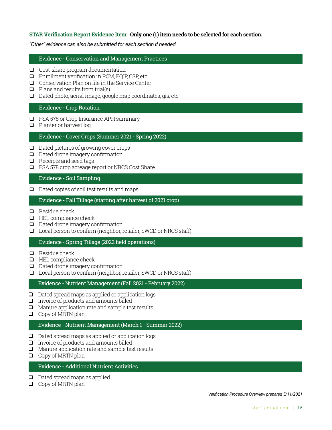# **STAR Verification Report Evidence Item: Only one (1) item needs to be selected for each section.**

*"Other" evidence can also be submitted for each section if needed.* 

#### Evidence - Conservation and Management Practices

- $\Box$  Cost-share program documentation
- $\Box$  Enrollment verification in PCM, EQIP, CSP, etc.
- $\Box$  Conservation Plan on file in the Service Center
- $\Box$  Plans and results from trial(s)
- $\Box$  Dated photo, aerial image, google map coordinates, gis, etc

# Evidence - Crop Rotation

- FSA 578 or Crop Insurance APH summary
- **Planter or harvest log**

#### Evidence - Cover Crops (Summer 2021 - Spring 2022)

- $\Box$  Dated pictures of growing cover crops
- D Dated drone imagery confirmation
- $\Box$  Receipts and seed tags
- □ FSA 578 crop acreage report or NRCS Cost Share

#### Evidence - Soil Sampling

 $\Box$  Dated copies of soil test results and maps

### Evidence - Fall Tillage (starting after harvest of 2021 crop)

- $\Box$  Residue check
- $\Box$  HEL compliance check
- $\Box$  Dated drone imagery confirmation
- Local person to confirm (neighbor, retailer, SWCD or NRCS staff)

# Evidence - Spring Tillage (2022 field operations)

- $\Box$  Residue check
- **HEL compliance check**
- $\Box$  Dated drone imagery confirmation
- □ Local person to confirm (neighbor, retailer, SWCD or NRCS staff)

#### Evidence - Nutrient Management (Fall 2021 - February 2022)

- $\Box$  Dated spread maps as applied or application logs
- $\Box$  Invoice of products and amounts billed
- $\Box$  Manure application rate and sample test results
- $\Box$  Copy of MRTN plan

#### Evidence - Nutrient Management (March 1 - Summer 2022)

- $\Box$  Dated spread maps as applied or application logs
- $\Box$  Invoice of products and amounts billed
- $\Box$  Manure application rate and sample test results
- **Q** Copy of MRTN plan

### Evidence - Additional Nutrient Activities

- $\Box$  Dated spread maps as applied
- $\Box$  Copy of MRTN plan

*Verification Procedure Overview prepared 5/11/2021*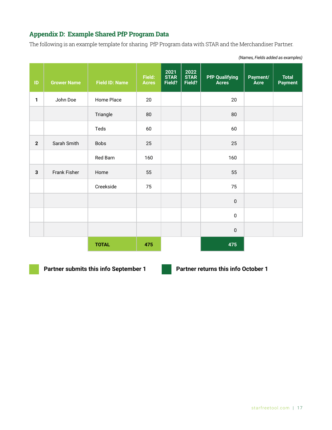# **Appendix D: Example Shared PfP Program Data**

The following is an example template for sharing PfP Program data with STAR and the Merchandiser Partner.

| $\sf ID$     | <b>Grower Name</b> | <b>Field ID: Name</b> | Field:<br><b>Acres</b> | 2021<br><b>STAR</b><br>Field? | 2022<br><b>STAR</b><br>Field? | <b>PfP Qualifying</b><br>Acres | Payment/<br><b>Acre</b> | <b>Total</b><br><b>Payment</b> |
|--------------|--------------------|-----------------------|------------------------|-------------------------------|-------------------------------|--------------------------------|-------------------------|--------------------------------|
| 1            | John Doe           | Home Place            | 20                     |                               |                               | 20                             |                         |                                |
|              |                    | Triangle              | 80                     |                               |                               | $80\,$                         |                         |                                |
|              |                    | Teds                  | 60                     |                               |                               | 60                             |                         |                                |
| $\mathbf{2}$ | Sarah Smith        | <b>Bobs</b>           | 25                     |                               |                               | 25                             |                         |                                |
|              |                    | Red Barn              | 160                    |                               |                               | 160                            |                         |                                |
| 3            | Frank Fisher       | Home                  | 55                     |                               |                               | 55                             |                         |                                |
|              |                    | Creekside             | 75                     |                               |                               | 75                             |                         |                                |
|              |                    |                       |                        |                               |                               | $\pmb{0}$                      |                         |                                |
|              |                    |                       |                        |                               |                               | $\pmb{0}$                      |                         |                                |
|              |                    |                       |                        |                               |                               | $\pmb{0}$                      |                         |                                |
|              |                    | <b>TOTAL</b>          | 475                    |                               |                               | 475                            |                         |                                |

*(Names, Fields added as examples)*

**Partner submits this info September 1 Partner returns this info October 1**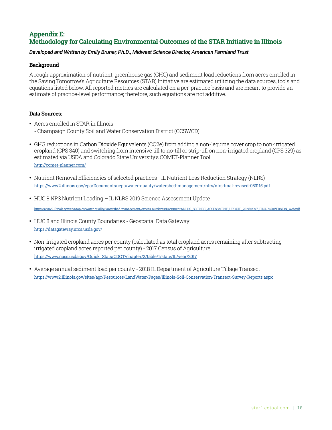# **Appendix E: Methodology for Calculating Environmental Outcomes of the STAR Initiative in Illinois**

# *Developed and Written by Emily Bruner, Ph.D., Midwest Science Director, American Farmland Trust*

# **Background**

A rough approximation of nutrient, greenhouse gas (GHG) and sediment load reductions from acres enrolled in the Saving Tomorrow's Agriculture Resources (STAR) Initiative are estimated utilizing the data sources, tools and equations listed below. All reported metrics are calculated on a per-practice basis and are meant to provide an estimate of practice-level performance; therefore, such equations are not additive.

# **Data Sources:**

- Acres enrolled in STAR in Illinois
	- Champaign County Soil and Water Conservation District (CCSWCD)
- GHG reductions in Carbon Dioxide Equivalents (CO2e) from adding a non-legume cover crop to non-irrigated cropland (CPS 340) and switching from intensive till to no-till or strip-till on non-irrigated cropland (CPS 329) as estimated via USDA and Colorado State University's COMET-Planner Tool <http://comet-planner.com/>
- Nutrient Removal Efficiencies of selected practices -IL Nutrient Loss Reduction Strategy (NLRS) <https://www2.illinois.gov/epa/Documents/iepa/water-quality/watershed-management/nlrs/nlrs-final-revised-083115.pdf>
- HUC 8 NPS Nutrient Loading IL NLRS 2019 Science Assessment Update

[https://www2.illinois.gov/epa/topics/water-quality/watershed-management/excess-nutrients/Documents/NLRS\\_SCIENCE\\_ASSESSMENT\\_UPDATE\\_2019%20v7\\_FINAL%20VERSION\\_web.pdf](https://www2.illinois.gov/epa/topics/water-quality/watershed-management/excess-nutrients/Documents/NLRS_SCIENCE_ASSESSMENT_UPDATE_2019%20v7_FINAL%20VERSION_web.pdf)

- HUC 8 and Illinois County Boundaries Geospatial Data Gateway <https://datagateway.nrcs.usda.gov/>
- Non-irrigated cropland acres per county (calculated as total cropland acres remaining after subtracting irrigated cropland acres reported per county)- 2017 Census of Agriculture [https://www.nass.usda.gov/Quick\\_Stats/CDQT/chapter/2/table/1/state/IL/year/2017](https://www.nass.usda.gov/Quick_Stats/CDQT/chapter/2/table/1/state/IL/year/2017)
- Average annual sediment load per county 2018 IL Department of Agriculture Tillage Transect <https://www2.illinois.gov/sites/agr/Resources/LandWater/Pages/Illinois-Soil-Conservation-Transect-Survey-Reports.aspx>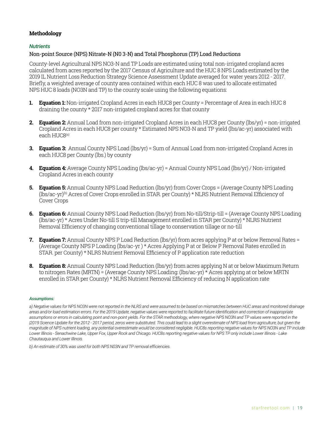# **Methodology**

# *Nutrients*

# Non-point Source (NPS) Nitrate-N (N0 3-N) and Total Phosphorus (TP) Load Reductions

County-level Agricultural NPS NO3-N and TP Loads are estimated using total non-irrigated cropland acres calculated from acres reported by the 2017 Census of Agriculture and the HUC 8 NPS Loads estimated by the 2019 IL Nutrient Loss Reduction Strategy Science Assessment Update averaged for water years 2012 - 2017. Briefly, a weighted average of county area contained within each HUC 8 was used to allocate estimated NPS HUC 8 loads (NO3N and TP) to the county scale using the following equations:

- **1. Equation 1:** Non-irrigated Cropland Acres in each HUC8 per County = Percentage of Area in each HUC 8 draining the county \* 2017 non-irrigated cropland acres for that county
- **2. Equation 2:** Annual Load from non-irrigated Cropland Acres in each HUC8 per County (lbs/yr) = non-irrigated Cropland Acres in each HUC8 per county \* Estimated NPS NO3-N and TP yield (lbs/ac-yr) associated with each HUC8<sup>(a)</sup>
- **3. Equation 3:** Annual County NPS Load (lbs/yr) = Sum of Annual Load from non-irrigated Cropland Acres in each HUC8 per County (lbs.) by county
- **4. Equation 4:** Average County NPS Loading (lbs/ac-yr) = Annual County NPS Load (lbs/yr)/ Non-irrigated Cropland Acres in each county
- **5. Equation 5:** Annual County NPS Load Reduction (lbs/yr) from Cover Crops = (Average County NPS Loading (lbs/ac-yr)(b) Acres of Cover Crops enrolled in STAR. per County) \* NLRS Nutrient Removal Efficiency of Cover Crops
- **6. Equation 6:** Annual County NPS Load Reduction (lbs/yr) from No-till/Strip-till = (Average County NPS Loading (lbs/ac-yr) \* Acres Under No-till S trip-till Management enrolled in STAR per County) \* NLRS Nutrient Removal Efficiency of changing conventional tillage to conservation tillage or no-till
- **7. Equation 7:** Annual County NPS P Load Reduction (lbs/yr) from acres applying P at or below Removal Rates = (Average County NPS P Loading (lbs/ac-yr ) \* Acres Applying P at or Below P Removal Rates enrolled in STAR. per County) \* NLRS Nutrient Removal Efficiency of P application rate reduction
- **8. Equation 8:** Annual County NPS Load Reduction (lbs/yr) from acres applying N at or below Maximum Return to nitrogen Rates (MRTN) = (Average County NPS Loading: (lbs/ac-yr) \* Acres applying at or below MRTN enrolled in STAR per County) \* NLRS Nutrient Removal Efficiency of reducing N application rate

#### *Assumptions:*

a) Negative values for NPS NO3N were not reported in the NLRS and were assumed to be based on mismatches between HUC areas and monitored drainage *areas and/or load estimation errors. For the 2019 Update, negative values were reported to facilitate future identification and correction of inappropriate*  assumptions or errors in calculating point and non-point yields. For the STAR methodology, where negative NPS NO3N and TP values were reported in the *|2019 Science Update for the 2012 - 2017 period, zeros were substituted. This could lead to a slight overestimate of NPS load from agriculture, but given the magnitude of NPS nutrient loading, any potential overestimate would be considered negligible. HUC8s reporting negative values for NPS NO3N and TP include Lower Illinois - Senachwine Lake, Upper Fox, Upper Rock and Chicago. HUC8s reporting negative values for NPS TP only include Lower Illinois - Lake Chautauqua and Lower Illinois.*

*b) An estimate of 30% was used for both NPS N03N and TP removal efficiencies.*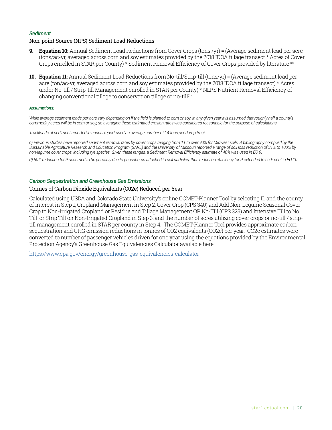#### *Sediment*

#### Non-point Source (NPS) Sediment Load Reductions

- **9. Equation 10:** Annual Sediment Load Reductions from Cover Crops (tons /yr) = (Average sediment load per acre (tons/ac-yr, averaged across corn and soy estimates provided by the 2018 IDOA tillage transect \* Acres of Cover Crops enrolled in STAR per County) \* Sediment Removal Efficiency of Cover Crops provided by literature (c)
- **10. Equation 11:** Annual Sediment Load Reductions from No-till/Strip-till (tons/yr) = (Average sediment load per acre (ton/ac-yr, averaged across corn and soy estimates provided by the 2018 IDOA tillage transect) \* Acres under No-till/ Strip-till Management enrolled in STAR per County) \* NLRS Nutrient Removal Efficiency of changing conventional tillage to conservation tillage or no-till<sup>(d)</sup>

#### *Assumptions:*

While average sediment loads per acre vary depending on if the field is planted to corn or soy, in any given year it is assumed that roughly half a county's *commodity acres will be in corn or soy, so averaging these estimated erosion rates was considered reasonable for the purpose of calculations.*

*Truckloads of sediment reported in annual report used an average number of 14 tons per dump truck.*

*c) Previous studies have reported sediment removal rates by cover crops ranging from 11 to over 90% for Midwest soils. A bibliography compiled by the Sustainable Agriculture Research and Education Program (SARE) and the University of Missouri reported a range of soil loss reduction of 31% to 100% by non-legume cover crops, including rye species. Given these ranges, a Sediment Removal Efficiency estimate of 40% was used in EQ 9.*

*d) 50% reduction for P assumed to be primarily due to phosphorus attached to soil particles, thus reduction efficiency for P extended to sediment in EQ 10.*

#### *Carbon Sequestration and Greenhouse Gas Emissions*

### Tonnes of Carbon Dioxide Equivalents (C02e) Reduced per Year

Calculated using USDA and Colorado State University's online COMET-Planner Tool by selecting IL and the county of interest in Step 1, Cropland Management in Step 2, Cover Crop (CPS 340) and Add Non-Legume Seasonal Cover Crop to Non-Irrigated Cropland or Residue and Tillage Management OR No-Till (CPS 329) and Intensive Till to No Till or Strip Till on Non-Irrigated Cropland in Step 3, and the number of acres utilizing cover crops or no-till/ striptill management enrolled in STAR per county in Step 4. The COMET-Planner Tool provides approximate carbon sequestration and GHG emission reductions in tonnes of CO2 equivalents (CO2e) per year. CO2e estimates were converted to number of passenger vehicles driven for one year using the equations provided by the Environmental Protection Agency's Greenhouse Gas Equivalencies Calculator available here:

<https://www.epa.gov/energy/greenhouse-gas-equivalencies-calculator>